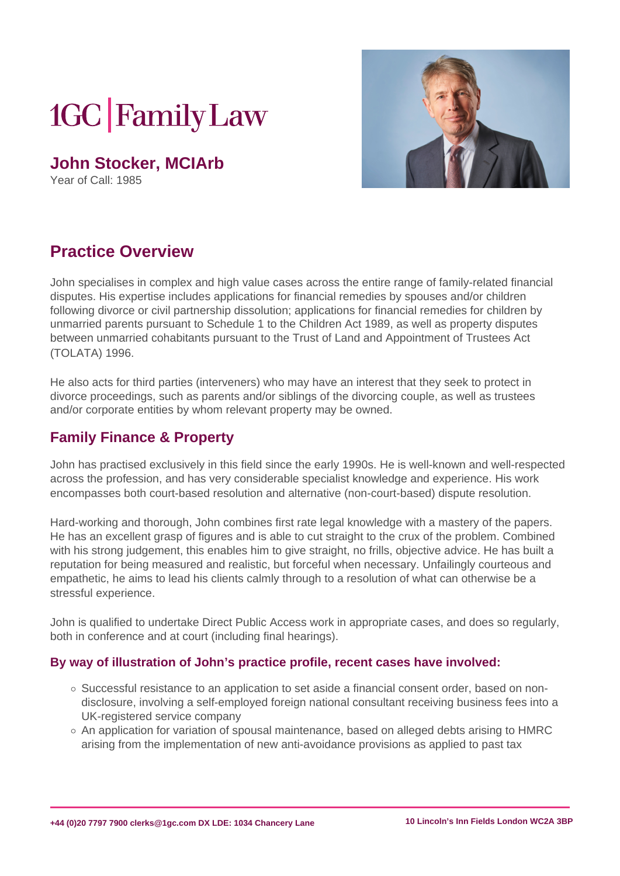# **1GC Family Law**

**John Stocker, MCIArb**

Year of Call: 1985



## **Practice Overview**

John specialises in complex and high value cases across the entire range of family-related financial disputes. His expertise includes applications for financial remedies by spouses and/or children following divorce or civil partnership dissolution; applications for financial remedies for children by unmarried parents pursuant to Schedule 1 to the Children Act 1989, as well as property disputes between unmarried cohabitants pursuant to the Trust of Land and Appointment of Trustees Act (TOLATA) 1996.

He also acts for third parties (interveners) who may have an interest that they seek to protect in divorce proceedings, such as parents and/or siblings of the divorcing couple, as well as trustees and/or corporate entities by whom relevant property may be owned.

### **Family Finance & Property**

John has practised exclusively in this field since the early 1990s. He is well-known and well-respected across the profession, and has very considerable specialist knowledge and experience. His work encompasses both court-based resolution and alternative (non-court-based) dispute resolution.

Hard-working and thorough, John combines first rate legal knowledge with a mastery of the papers. He has an excellent grasp of figures and is able to cut straight to the crux of the problem. Combined with his strong judgement, this enables him to give straight, no frills, objective advice. He has built a reputation for being measured and realistic, but forceful when necessary. Unfailingly courteous and empathetic, he aims to lead his clients calmly through to a resolution of what can otherwise be a stressful experience.

John is qualified to undertake Direct Public Access work in appropriate cases, and does so regularly, both in conference and at court (including final hearings).

#### **By way of illustration of John's practice profile, recent cases have involved:**

- $\circ$  Successful resistance to an application to set aside a financial consent order, based on nondisclosure, involving a self-employed foreign national consultant receiving business fees into a UK-registered service company
- $\circ$  An application for variation of spousal maintenance, based on alleged debts arising to HMRC arising from the implementation of new anti-avoidance provisions as applied to past tax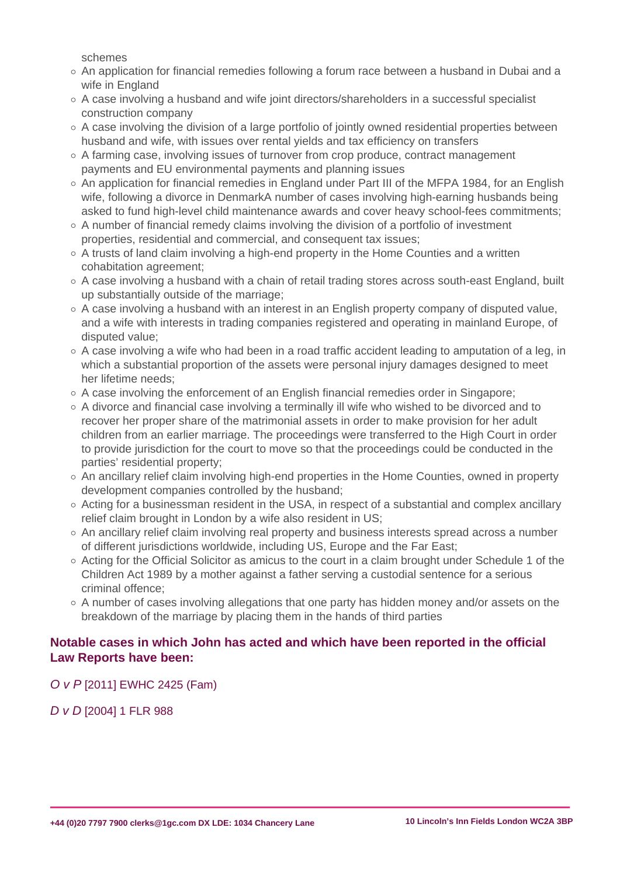schemes

- $\circ$  An application for financial remedies following a forum race between a husband in Dubai and a wife in England
- A case involving a husband and wife joint directors/shareholders in a successful specialist construction company
- o A case involving the division of a large portfolio of jointly owned residential properties between husband and wife, with issues over rental yields and tax efficiency on transfers
- $\circ$  A farming case, involving issues of turnover from crop produce, contract management payments and EU environmental payments and planning issues
- $\circ$  An application for financial remedies in England under Part III of the MFPA 1984, for an English wife, following a divorce in DenmarkA number of cases involving high-earning husbands being asked to fund high-level child maintenance awards and cover heavy school-fees commitments;
- $\circ$  A number of financial remedy claims involving the division of a portfolio of investment properties, residential and commercial, and consequent tax issues;
- o A trusts of land claim involving a high-end property in the Home Counties and a written cohabitation agreement;
- $\circ$  A case involving a husband with a chain of retail trading stores across south-east England, built up substantially outside of the marriage;
- $\circ$  A case involving a husband with an interest in an English property company of disputed value, and a wife with interests in trading companies registered and operating in mainland Europe, of disputed value;
- $\circ$  A case involving a wife who had been in a road traffic accident leading to amputation of a leg, in which a substantial proportion of the assets were personal injury damages designed to meet her lifetime needs;
- $\circ$  A case involving the enforcement of an English financial remedies order in Singapore;
- A divorce and financial case involving a terminally ill wife who wished to be divorced and to recover her proper share of the matrimonial assets in order to make provision for her adult children from an earlier marriage. The proceedings were transferred to the High Court in order to provide jurisdiction for the court to move so that the proceedings could be conducted in the parties' residential property;
- An ancillary relief claim involving high-end properties in the Home Counties, owned in property development companies controlled by the husband;
- $\circ$  Acting for a businessman resident in the USA, in respect of a substantial and complex ancillary relief claim brought in London by a wife also resident in US;
- $\circ$  An ancillary relief claim involving real property and business interests spread across a number of different jurisdictions worldwide, including US, Europe and the Far East;
- $\circ$  Acting for the Official Solicitor as amicus to the court in a claim brought under Schedule 1 of the Children Act 1989 by a mother against a father serving a custodial sentence for a serious criminal offence;
- $\circ$  A number of cases involving allegations that one party has hidden money and/or assets on the breakdown of the marriage by placing them in the hands of third parties

#### Notable cases in which John has acted and which have been reported in the official Law Reports have been:

[O v P](�� h t t p s : / / w w w . b a i l i i . o r g / c g i - b i n / f o r m a t . c g i ? d o c = / e w / c a s e s / E W H C / F a m / 2 0 1 1 / 2 4 2 5 . h t m l & q u e r y = ( O ) + A N D + ( v ) + A N D + ( P ) + A N D + ( . 2 0 1 1 . ) + A N D + ( E W H C ) + A N D + ( 2 4 2 5 ) + A N D + ( ( F a m ) )) [\[2011\] EWHC 2425](�� h t t p s : / / w w w . b a i l i i . o r g / c g i - b i n / f o r m a t . c g i ? d o c = / e w / c a s e s / E W H C / F a m / 2 0 1 1 / 2 4 2 5 . h t m l & q u e r y = ( O ) + A N D + ( v ) + A N D + ( P ) + A N D + ( . 2 0 1 1 . ) + A N D + ( E W H C ) + A N D + ( 2 4 2 5 ) + A N D + ( ( F a m ) )) (Fam)

[D v D](�� h t t p : / / o 	 h t t p s : / / w w w . l e x i s n e x i s . c o m / u k / l e g a l / r e s u l t s / d o c v i e w / a t t a c h R e t r i e v e . d o ? c s i = 4 3 1 2 7 2 & A = 0 . 3 8 0 2 4 1 7 6 2 6 2 8 3 0 7 9 & e r s K e y = 2 3 _ T 2 9 2 0 6 3 9 2 2 2 9 & u r l E n c = I S O - 8 8 5 9 - 1 & i n l i n e = y & s m i = 2 0 5 5 4 & c o m p o n e n t s e q = 1 & k e y = 5 S N J - K M D 1 - D Y 9 F - G 1 2 J - 0 0 0 0 0 - 0 0 & t y p e = p d f & d i s p l a y T y p e = f u l l _ p d f & L N I = 5 S N J - K M D 1 - D Y 9 F - G 1 2 J & d o c T i t l e = D   v   D   ( F I N A N C I A L   P R O V I S I O N :   P E R I O D I C A L   P A Y M E N T S )   -   [ 2 0 0 4 ]   1   F L R   9 8 8 & a l t R e n d i t i o n = Y) [\[2004\] 1 FL](�� h t t p : / / o 	 h t t p s : / / w w w . l e x i s n e x i s . c o m / u k / l e g a l / r e s u l t s / d o c v i e w / a t t a c h R e t r i e v e . d o ? c s i = 4 3 1 2 7 2 & A = 0 . 3 8 0 2 4 1 7 6 2 6 2 8 3 0 7 9 & e r s K e y = 2 3 _ T 2 9 2 0 6 3 9 2 2 2 9 & u r l E n c = I S O - 8 8 5 9 - 1 & i n l i n e = y & s m i = 2 0 5 5 4 & c o m p o n e n t s e q = 1 & k e y = 5 S N J - K M D 1 - D Y 9 F - G 1 2 J - 0 0 0 0 0 - 0 0 & t y p e = p d f & d i s p l a y T y p e = f u l l _ p d f & L N I = 5 S N J - K M D 1 - D Y 9 F - G 1 2 J & d o c T i t l e = D   v   D   ( F I N A N C I A L   P R O V I S I O N :   P E R I O D I C A L   P A Y M E N T S )   -   [ 2 0 0 4 ]   1   F L R   9 8 8 & a l t R e n d i t i o n = Y)R 988